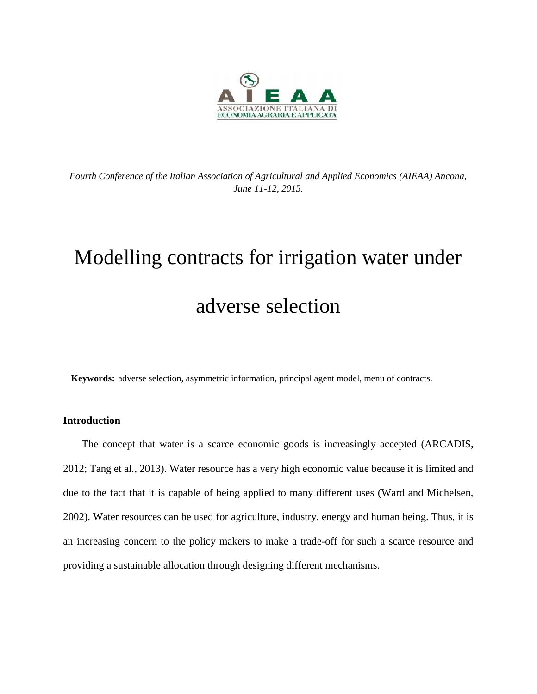

*Fourth Conference of the Italian Association of Agricultural and Applied Economics (AIEAA) Ancona, June 11-12, 2015.*

# Modelling contracts for irrigation water under adverse selection

**Keywords:** adverse selection, asymmetric information, principal agent model, menu of contracts.

## **Introduction**

The concept that water is a scarce economic goods is increasingly accepted (ARCADIS, 2012; Tang et al*.,* 2013). Water resource has a very high economic value because it is limited and due to the fact that it is capable of being applied to many different uses (Ward and Michelsen, 2002). Water resources can be used for agriculture, industry, energy and human being. Thus, it is an increasing concern to the policy makers to make a trade-off for such a scarce resource and providing a sustainable allocation through designing different mechanisms.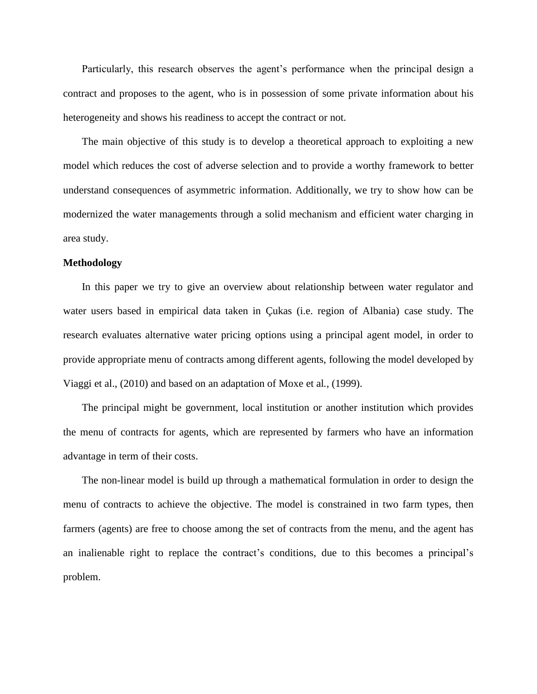Particularly, this research observes the agent's performance when the principal design a contract and proposes to the agent, who is in possession of some private information about his heterogeneity and shows his readiness to accept the contract or not.

The main objective of this study is to develop a theoretical approach to exploiting a new model which reduces the cost of adverse selection and to provide a worthy framework to better understand consequences of asymmetric information. Additionally, we try to show how can be modernized the water managements through a solid mechanism and efficient water charging in area study.

#### **Methodology**

In this paper we try to give an overview about relationship between water regulator and water users based in empirical data taken in Çukas (i.e. region of Albania) case study. The research evaluates alternative water pricing options using a principal agent model, in order to provide appropriate menu of contracts among different agents, following the model developed by Viaggi et al., (2010) and based on an adaptation of Moxe et al*.,* (1999).

The principal might be government, local institution or another institution which provides the menu of contracts for agents, which are represented by farmers who have an information advantage in term of their costs.

The non-linear model is build up through a mathematical formulation in order to design the menu of contracts to achieve the objective. The model is constrained in two farm types, then farmers (agents) are free to choose among the set of contracts from the menu, and the agent has an inalienable right to replace the contract's conditions, due to this becomes a principal's problem.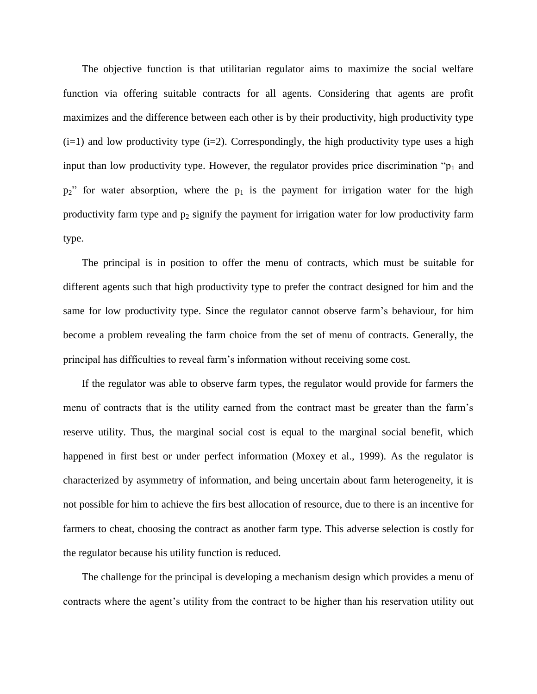The objective function is that utilitarian regulator aims to maximize the social welfare function via offering suitable contracts for all agents. Considering that agents are profit maximizes and the difference between each other is by their productivity, high productivity type  $(i=1)$  and low productivity type  $(i=2)$ . Correspondingly, the high productivity type uses a high input than low productivity type. However, the regulator provides price discrimination " $p_1$  and  $p_2$ " for water absorption, where the  $p_1$  is the payment for irrigation water for the high productivity farm type and  $p_2$  signify the payment for irrigation water for low productivity farm type.

The principal is in position to offer the menu of contracts, which must be suitable for different agents such that high productivity type to prefer the contract designed for him and the same for low productivity type. Since the regulator cannot observe farm's behaviour, for him become a problem revealing the farm choice from the set of menu of contracts. Generally, the principal has difficulties to reveal farm's information without receiving some cost.

If the regulator was able to observe farm types, the regulator would provide for farmers the menu of contracts that is the utility earned from the contract mast be greater than the farm's reserve utility. Thus, the marginal social cost is equal to the marginal social benefit, which happened in first best or under perfect information (Moxey et al., 1999). As the regulator is characterized by asymmetry of information, and being uncertain about farm heterogeneity, it is not possible for him to achieve the firs best allocation of resource, due to there is an incentive for farmers to cheat, choosing the contract as another farm type. This adverse selection is costly for the regulator because his utility function is reduced.

The challenge for the principal is developing a mechanism design which provides a menu of contracts where the agent's utility from the contract to be higher than his reservation utility out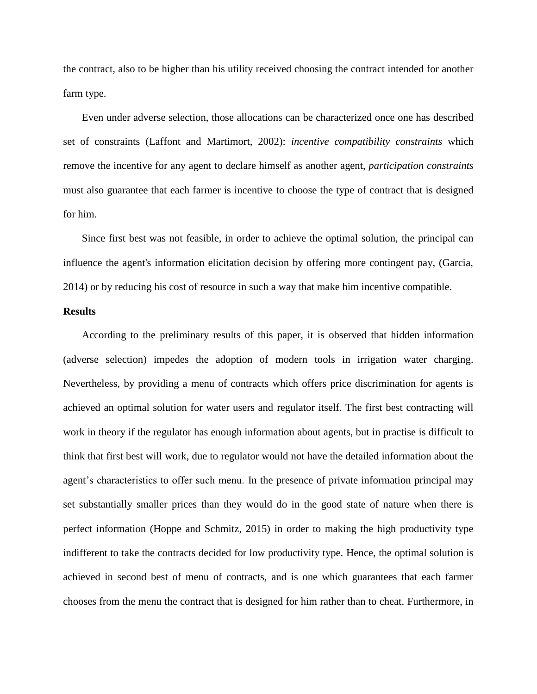the contract, also to be higher than his utility received choosing the contract intended for another farm type.

Even under adverse selection, those allocations can be characterized once one has described set of constraints (Laffont and Martimort, 2002): *incentive compatibility constraints* which remove the incentive for any agent to declare himself as another agent, *participation constraints* must also guarantee that each farmer is incentive to choose the type of contract that is designed for him.

Since first best was not feasible, in order to achieve the optimal solution, the principal can influence the agent's information elicitation decision by offering more contingent pay, (Garcia, 2014) or by reducing his cost of resource in such a way that make him incentive compatible.

#### **Results**

According to the preliminary results of this paper, it is observed that hidden information (adverse selection) impedes the adoption of modern tools in irrigation water charging. Nevertheless, by providing a menu of contracts which offers price discrimination for agents is achieved an optimal solution for water users and regulator itself. The first best contracting will work in theory if the regulator has enough information about agents, but in practise is difficult to think that first best will work, due to regulator would not have the detailed information about the agent's characteristics to offer such menu. In the presence of private information principal may set substantially smaller prices than they would do in the good state of nature when there is perfect information (Hoppe and Schmitz, 2015) in order to making the high productivity type indifferent to take the contracts decided for low productivity type. Hence, the optimal solution is achieved in second best of menu of contracts, and is one which guarantees that each farmer chooses from the menu the contract that is designed for him rather than to cheat. Furthermore, in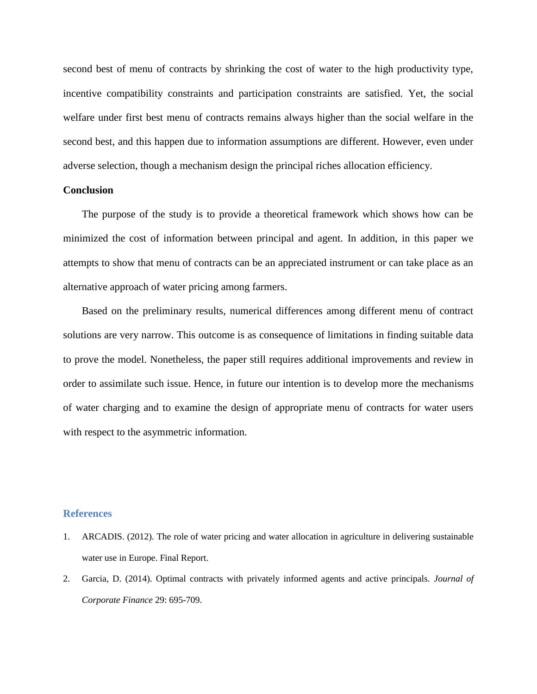second best of menu of contracts by shrinking the cost of water to the high productivity type, incentive compatibility constraints and participation constraints are satisfied. Yet, the social welfare under first best menu of contracts remains always higher than the social welfare in the second best, and this happen due to information assumptions are different. However, even under adverse selection, though a mechanism design the principal riches allocation efficiency.

### **Conclusion**

The purpose of the study is to provide a theoretical framework which shows how can be minimized the cost of information between principal and agent. In addition, in this paper we attempts to show that menu of contracts can be an appreciated instrument or can take place as an alternative approach of water pricing among farmers.

Based on the preliminary results, numerical differences among different menu of contract solutions are very narrow. This outcome is as consequence of limitations in finding suitable data to prove the model. Nonetheless, the paper still requires additional improvements and review in order to assimilate such issue. Hence, in future our intention is to develop more the mechanisms of water charging and to examine the design of appropriate menu of contracts for water users with respect to the asymmetric information.

#### **References**

- 1. ARCADIS. (2012). The role of water pricing and water allocation in agriculture in delivering sustainable water use in Europe. Final Report.
- 2. Garcia, D. (2014). Optimal contracts with privately informed agents and active principals. *Journal of Corporate Finance* 29: 695-709.